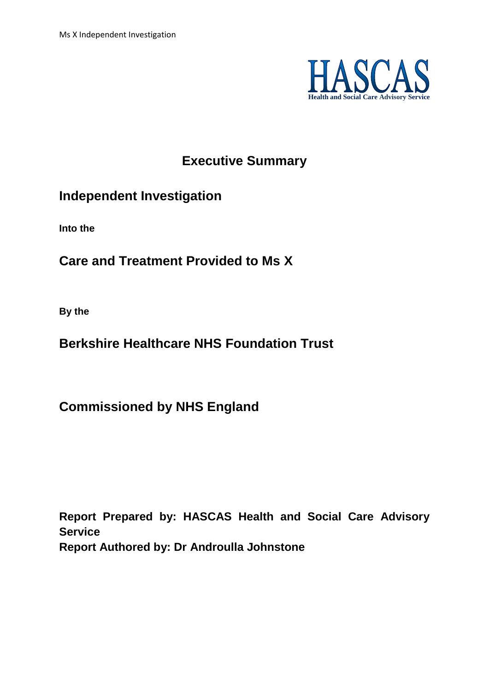

# **Executive Summary**

# **Independent Investigation**

**Into the**

# **Care and Treatment Provided to Ms X**

**By the** 

# **Berkshire Healthcare NHS Foundation Trust**

**Commissioned by NHS England**

**Report Prepared by: HASCAS Health and Social Care Advisory Service Report Authored by: Dr Androulla Johnstone**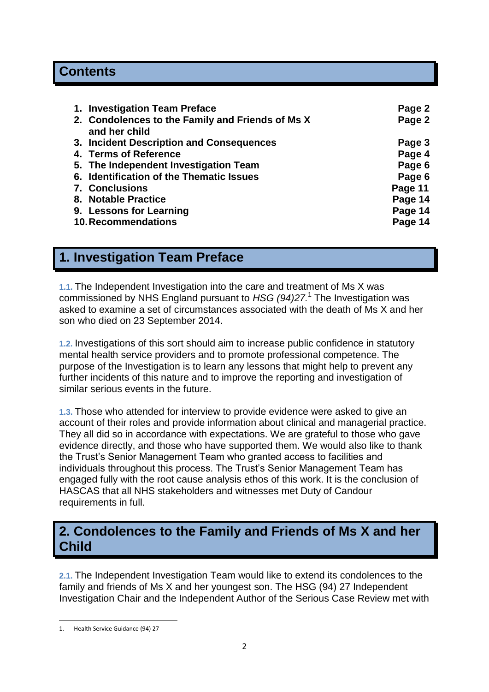# **Contents**

| 1. Investigation Team Preface                                     | Page 2  |
|-------------------------------------------------------------------|---------|
| 2. Condolences to the Family and Friends of Ms X<br>and her child | Page 2  |
| 3. Incident Description and Consequences                          | Page 3  |
| 4. Terms of Reference                                             | Page 4  |
| 5. The Independent Investigation Team                             | Page 6  |
| 6. Identification of the Thematic Issues                          | Page 6  |
| <b>7. Conclusions</b>                                             | Page 11 |
| 8. Notable Practice                                               | Page 14 |
| 9. Lessons for Learning                                           | Page 14 |
| <b>10. Recommendations</b>                                        | Page 14 |

# **1. Investigation Team Preface**

**1.1.** The Independent Investigation into the care and treatment of Ms X was commissioned by NHS England pursuant to *HSG (94)27.*<sup>1</sup> The Investigation was asked to examine a set of circumstances associated with the death of Ms X and her son who died on 23 September 2014.

**1.2.** Investigations of this sort should aim to increase public confidence in statutory mental health service providers and to promote professional competence. The purpose of the Investigation is to learn any lessons that might help to prevent any further incidents of this nature and to improve the reporting and investigation of similar serious events in the future.

**1.3.** Those who attended for interview to provide evidence were asked to give an account of their roles and provide information about clinical and managerial practice. They all did so in accordance with expectations. We are grateful to those who gave evidence directly, and those who have supported them. We would also like to thank the Trust's Senior Management Team who granted access to facilities and individuals throughout this process. The Trust's Senior Management Team has engaged fully with the root cause analysis ethos of this work. It is the conclusion of HASCAS that all NHS stakeholders and witnesses met Duty of Candour requirements in full.

# **2. Condolences to the Family and Friends of Ms X and her Child**

**2.1.** The Independent Investigation Team would like to extend its condolences to the family and friends of Ms X and her youngest son. The HSG (94) 27 Independent Investigation Chair and the Independent Author of the Serious Case Review met with

 $\overline{a}$ 1. Health Service Guidance (94) 27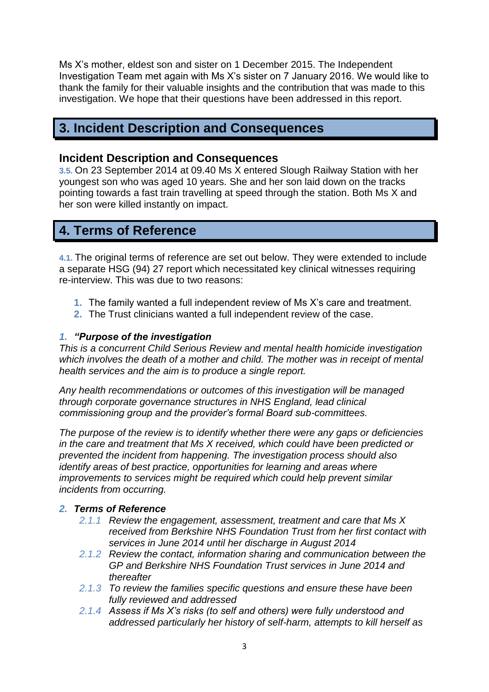Ms X's mother, eldest son and sister on 1 December 2015. The Independent Investigation Team met again with Ms X's sister on 7 January 2016. We would like to thank the family for their valuable insights and the contribution that was made to this investigation. We hope that their questions have been addressed in this report.

# **3. Incident Description and Consequences**

#### **Incident Description and Consequences**

**3.5.** On 23 September 2014 at 09.40 Ms X entered Slough Railway Station with her youngest son who was aged 10 years. She and her son laid down on the tracks pointing towards a fast train travelling at speed through the station. Both Ms X and her son were killed instantly on impact.

# **4. Terms of Reference**

**4.1.** The original terms of reference are set out below. They were extended to include a separate HSG (94) 27 report which necessitated key clinical witnesses requiring re-interview. This was due to two reasons:

- **1.** The family wanted a full independent review of Ms X's care and treatment.
- **2.** The Trust clinicians wanted a full independent review of the case.

#### *1. "Purpose of the investigation*

*This is a concurrent Child Serious Review and mental health homicide investigation which involves the death of a mother and child. The mother was in receipt of mental health services and the aim is to produce a single report.* 

*Any health recommendations or outcomes of this investigation will be managed through corporate governance structures in NHS England, lead clinical commissioning group and the provider's formal Board sub-committees.*

*The purpose of the review is to identify whether there were any gaps or deficiencies in the care and treatment that Ms X received, which could have been predicted or prevented the incident from happening. The investigation process should also identify areas of best practice, opportunities for learning and areas where improvements to services might be required which could help prevent similar incidents from occurring.*

#### *2. Terms of Reference*

- *2.1.1 Review the engagement, assessment, treatment and care that Ms X received from Berkshire NHS Foundation Trust from her first contact with services in June 2014 until her discharge in August 2014*
- *2.1.2 Review the contact, information sharing and communication between the GP and Berkshire NHS Foundation Trust services in June 2014 and thereafter*
- *2.1.3 To review the families specific questions and ensure these have been fully reviewed and addressed*
- *2.1.4 Assess if Ms X's risks (to self and others) were fully understood and addressed particularly her history of self-harm, attempts to kill herself as*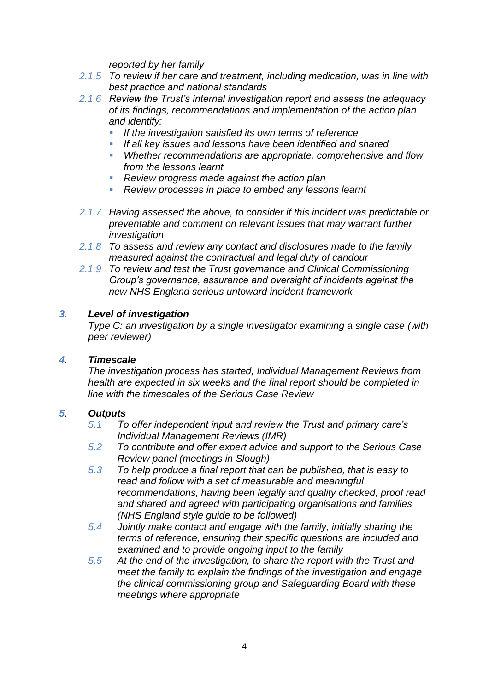*reported by her family* 

- *2.1.5 To review if her care and treatment, including medication, was in line with best practice and national standards*
- *2.1.6 Review the Trust's internal investigation report and assess the adequacy of its findings, recommendations and implementation of the action plan and identify:*
	- *If the investigation satisfied its own terms of reference*
	- *If all key issues and lessons have been identified and shared*
	- *Whether recommendations are appropriate, comprehensive and flow from the lessons learnt*
	- *Review progress made against the action plan*
	- *Review processes in place to embed any lessons learnt*
- *2.1.7 Having assessed the above, to consider if this incident was predictable or preventable and comment on relevant issues that may warrant further investigation*
- *2.1.8 To assess and review any contact and disclosures made to the family measured against the contractual and legal duty of candour*
- *2.1.9 To review and test the Trust governance and Clinical Commissioning Group's governance, assurance and oversight of incidents against the new NHS England serious untoward incident framework*

#### *3. Level of investigation*

*Type C: an investigation by a single investigator examining a single case (with peer reviewer)*

#### *4. Timescale*

*The investigation process has started, Individual Management Reviews from health are expected in six weeks and the final report should be completed in line with the timescales of the Serious Case Review*

#### *5. Outputs*

- *5.1 To offer independent input and review the Trust and primary care's Individual Management Reviews (IMR)*
- *5.2 To contribute and offer expert advice and support to the Serious Case Review panel (meetings in Slough)*
- *5.3 To help produce a final report that can be published, that is easy to read and follow with a set of measurable and meaningful recommendations, having been legally and quality checked, proof read and shared and agreed with participating organisations and families (NHS England style guide to be followed)*
- *5.4 Jointly make contact and engage with the family, initially sharing the terms of reference, ensuring their specific questions are included and examined and to provide ongoing input to the family*
- *5.5 At the end of the investigation, to share the report with the Trust and meet the family to explain the findings of the investigation and engage the clinical commissioning group and Safeguarding Board with these meetings where appropriate*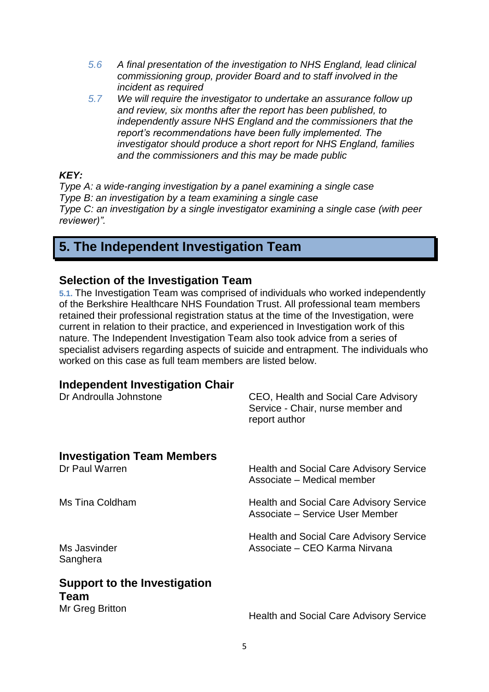- *5.6 A final presentation of the investigation to NHS England, lead clinical commissioning group, provider Board and to staff involved in the incident as required*
- *5.7 We will require the investigator to undertake an assurance follow up and review, six months after the report has been published, to independently assure NHS England and the commissioners that the report's recommendations have been fully implemented. The investigator should produce a short report for NHS England, families and the commissioners and this may be made public*

#### *KEY:*

*Type A: a wide-ranging investigation by a panel examining a single case Type B: an investigation by a team examining a single case Type C: an investigation by a single investigator examining a single case (with peer reviewer)".*

# **5. The Independent Investigation Team**

#### **Selection of the Investigation Team**

**5.1.** The Investigation Team was comprised of individuals who worked independently of the Berkshire Healthcare NHS Foundation Trust. All professional team members retained their professional registration status at the time of the Investigation, were current in relation to their practice, and experienced in Investigation work of this nature. The Independent Investigation Team also took advice from a series of specialist advisers regarding aspects of suicide and entrapment. The individuals who worked on this case as full team members are listed below.

### **Independent Investigation Chair**

| Dr Androulla Johnstone                                         | CEO, Health and Social Care Advisory<br>Service - Chair, nurse member and<br>report author |
|----------------------------------------------------------------|--------------------------------------------------------------------------------------------|
| <b>Investigation Team Members</b><br>Dr Paul Warren            | <b>Health and Social Care Advisory Service</b><br>Associate - Medical member               |
| Ms Tina Coldham                                                | <b>Health and Social Care Advisory Service</b><br>Associate – Service User Member          |
| Ms Jasvinder<br>Sanghera                                       | <b>Health and Social Care Advisory Service</b><br>Associate – CEO Karma Nirvana            |
| <b>Support to the Investigation</b><br>Team<br>Mr Greg Britton | <b>Health and Social Care Advisory Service</b>                                             |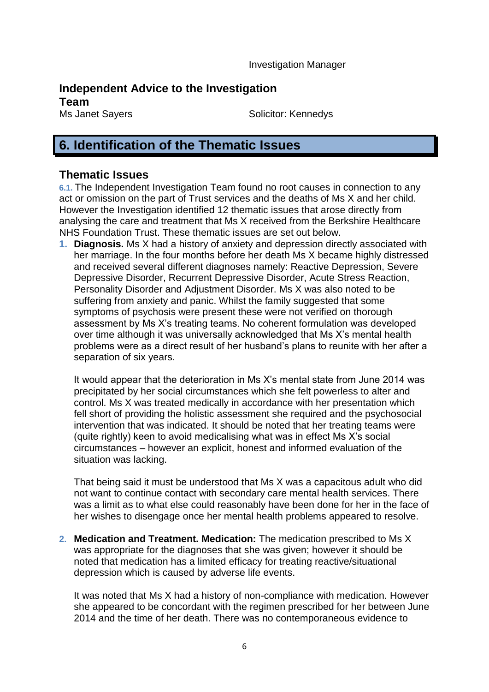Investigation Manager

## **Independent Advice to the Investigation**

**Team**

Ms Janet Sayers Solicitor: Kennedys

# **6. Identification of the Thematic Issues**

#### **Thematic Issues**

**6.1.** The Independent Investigation Team found no root causes in connection to any act or omission on the part of Trust services and the deaths of Ms X and her child. However the Investigation identified 12 thematic issues that arose directly from analysing the care and treatment that Ms X received from the Berkshire Healthcare NHS Foundation Trust. These thematic issues are set out below.

**1. Diagnosis.** Ms X had a history of anxiety and depression directly associated with her marriage. In the four months before her death Ms X became highly distressed and received several different diagnoses namely: Reactive Depression, Severe Depressive Disorder, Recurrent Depressive Disorder, Acute Stress Reaction, Personality Disorder and Adjustment Disorder. Ms X was also noted to be suffering from anxiety and panic. Whilst the family suggested that some symptoms of psychosis were present these were not verified on thorough assessment by Ms X's treating teams. No coherent formulation was developed over time although it was universally acknowledged that Ms X's mental health problems were as a direct result of her husband's plans to reunite with her after a separation of six years.

It would appear that the deterioration in Ms X's mental state from June 2014 was precipitated by her social circumstances which she felt powerless to alter and control. Ms X was treated medically in accordance with her presentation which fell short of providing the holistic assessment she required and the psychosocial intervention that was indicated. It should be noted that her treating teams were (quite rightly) keen to avoid medicalising what was in effect Ms X's social circumstances – however an explicit, honest and informed evaluation of the situation was lacking.

That being said it must be understood that Ms X was a capacitous adult who did not want to continue contact with secondary care mental health services. There was a limit as to what else could reasonably have been done for her in the face of her wishes to disengage once her mental health problems appeared to resolve.

**2. Medication and Treatment. Medication:** The medication prescribed to Ms X was appropriate for the diagnoses that she was given; however it should be noted that medication has a limited efficacy for treating reactive/situational depression which is caused by adverse life events.

It was noted that Ms X had a history of non-compliance with medication. However she appeared to be concordant with the regimen prescribed for her between June 2014 and the time of her death. There was no contemporaneous evidence to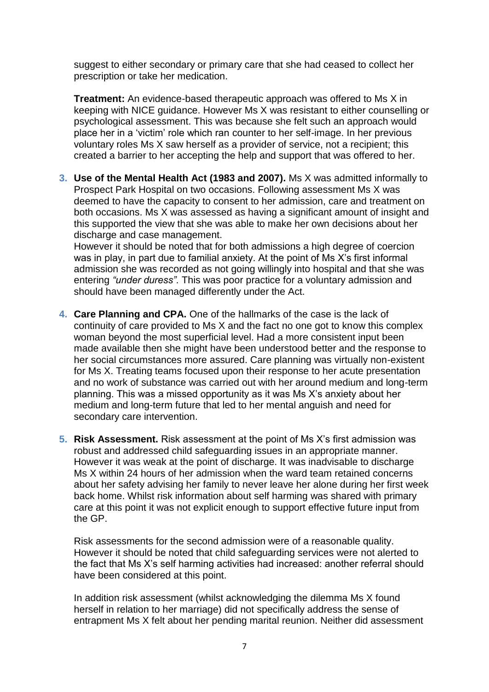suggest to either secondary or primary care that she had ceased to collect her prescription or take her medication.

**Treatment:** An evidence-based therapeutic approach was offered to Ms X in keeping with NICE guidance. However Ms X was resistant to either counselling or psychological assessment. This was because she felt such an approach would place her in a 'victim' role which ran counter to her self-image. In her previous voluntary roles Ms X saw herself as a provider of service, not a recipient; this created a barrier to her accepting the help and support that was offered to her.

**3. Use of the Mental Health Act (1983 and 2007).** Ms X was admitted informally to Prospect Park Hospital on two occasions. Following assessment Ms X was deemed to have the capacity to consent to her admission, care and treatment on both occasions. Ms X was assessed as having a significant amount of insight and this supported the view that she was able to make her own decisions about her discharge and case management.

However it should be noted that for both admissions a high degree of coercion was in play, in part due to familial anxiety. At the point of Ms X's first informal admission she was recorded as not going willingly into hospital and that she was entering *"under duress".* This was poor practice for a voluntary admission and should have been managed differently under the Act.

- **4. Care Planning and CPA.** One of the hallmarks of the case is the lack of continuity of care provided to Ms X and the fact no one got to know this complex woman beyond the most superficial level. Had a more consistent input been made available then she might have been understood better and the response to her social circumstances more assured. Care planning was virtually non-existent for Ms X. Treating teams focused upon their response to her acute presentation and no work of substance was carried out with her around medium and long-term planning. This was a missed opportunity as it was Ms X's anxiety about her medium and long-term future that led to her mental anguish and need for secondary care intervention.
- **5. Risk Assessment.** Risk assessment at the point of Ms X's first admission was robust and addressed child safeguarding issues in an appropriate manner. However it was weak at the point of discharge. It was inadvisable to discharge Ms X within 24 hours of her admission when the ward team retained concerns about her safety advising her family to never leave her alone during her first week back home. Whilst risk information about self harming was shared with primary care at this point it was not explicit enough to support effective future input from the GP.

Risk assessments for the second admission were of a reasonable quality. However it should be noted that child safeguarding services were not alerted to the fact that Ms X's self harming activities had increased: another referral should have been considered at this point.

In addition risk assessment (whilst acknowledging the dilemma Ms X found herself in relation to her marriage) did not specifically address the sense of entrapment Ms X felt about her pending marital reunion. Neither did assessment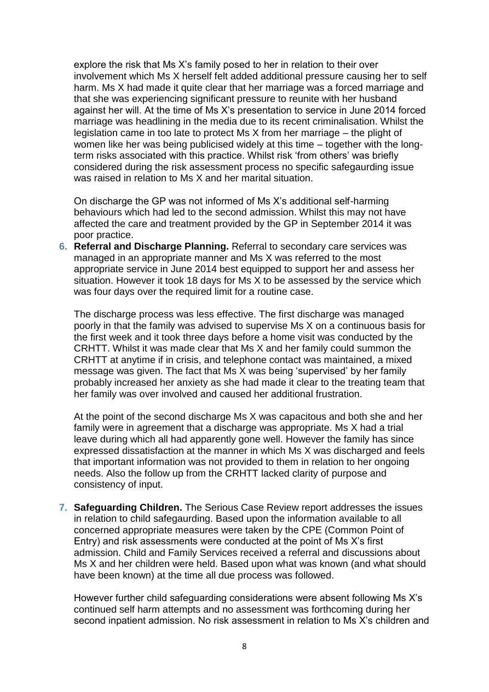explore the risk that Ms X's family posed to her in relation to their over involvement which Ms X herself felt added additional pressure causing her to self harm. Ms X had made it quite clear that her marriage was a forced marriage and that she was experiencing significant pressure to reunite with her husband against her will. At the time of Ms X's presentation to service in June 2014 forced marriage was headlining in the media due to its recent criminalisation. Whilst the legislation came in too late to protect Ms X from her marriage – the plight of women like her was being publicised widely at this time – together with the longterm risks associated with this practice. Whilst risk 'from others' was briefly considered during the risk assessment process no specific safegaurding issue was raised in relation to Ms X and her marital situation.

On discharge the GP was not informed of Ms X's additional self-harming behaviours which had led to the second admission. Whilst this may not have affected the care and treatment provided by the GP in September 2014 it was poor practice.

**6. Referral and Discharge Planning.** Referral to secondary care services was managed in an appropriate manner and Ms X was referred to the most appropriate service in June 2014 best equipped to support her and assess her situation. However it took 18 days for Ms X to be assessed by the service which was four days over the required limit for a routine case.

The discharge process was less effective. The first discharge was managed poorly in that the family was advised to supervise Ms X on a continuous basis for the first week and it took three days before a home visit was conducted by the CRHTT. Whilst it was made clear that Ms X and her family could summon the CRHTT at anytime if in crisis, and telephone contact was maintained, a mixed message was given. The fact that Ms X was being 'supervised' by her family probably increased her anxiety as she had made it clear to the treating team that her family was over involved and caused her additional frustration.

At the point of the second discharge Ms X was capacitous and both she and her family were in agreement that a discharge was appropriate. Ms X had a trial leave during which all had apparently gone well. However the family has since expressed dissatisfaction at the manner in which Ms X was discharged and feels that important information was not provided to them in relation to her ongoing needs. Also the follow up from the CRHTT lacked clarity of purpose and consistency of input.

**7. Safeguarding Children.** The Serious Case Review report addresses the issues in relation to child safegaurding. Based upon the information available to all concerned appropriate measures were taken by the CPE (Common Point of Entry) and risk assessments were conducted at the point of Ms X's first admission. Child and Family Services received a referral and discussions about Ms X and her children were held. Based upon what was known (and what should have been known) at the time all due process was followed.

However further child safeguarding considerations were absent following Ms X's continued self harm attempts and no assessment was forthcoming during her second inpatient admission. No risk assessment in relation to Ms X's children and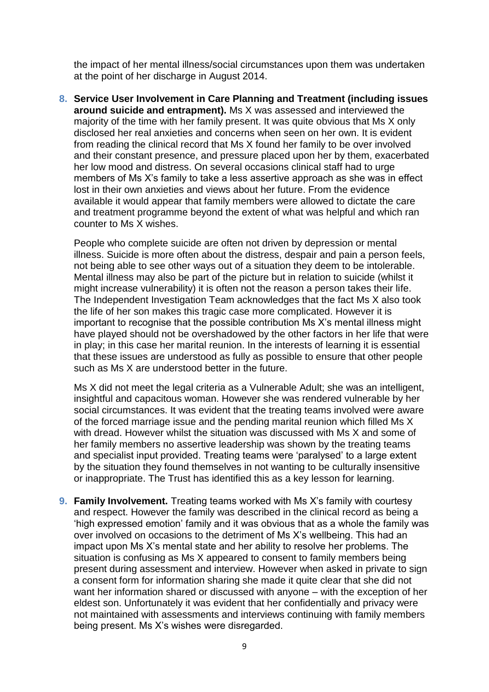the impact of her mental illness/social circumstances upon them was undertaken at the point of her discharge in August 2014.

**8. Service User Involvement in Care Planning and Treatment (including issues around suicide and entrapment).** Ms X was assessed and interviewed the majority of the time with her family present. It was quite obvious that Ms X only disclosed her real anxieties and concerns when seen on her own. It is evident from reading the clinical record that Ms X found her family to be over involved and their constant presence, and pressure placed upon her by them, exacerbated her low mood and distress. On several occasions clinical staff had to urge members of Ms X's family to take a less assertive approach as she was in effect lost in their own anxieties and views about her future. From the evidence available it would appear that family members were allowed to dictate the care and treatment programme beyond the extent of what was helpful and which ran counter to Ms X wishes.

People who complete suicide are often not driven by depression or mental illness. Suicide is more often about the distress, despair and pain a person feels, not being able to see other ways out of a situation they deem to be intolerable. Mental illness may also be part of the picture but in relation to suicide (whilst it might increase vulnerability) it is often not the reason a person takes their life. The Independent Investigation Team acknowledges that the fact Ms X also took the life of her son makes this tragic case more complicated. However it is important to recognise that the possible contribution Ms X's mental illness might have played should not be overshadowed by the other factors in her life that were in play; in this case her marital reunion. In the interests of learning it is essential that these issues are understood as fully as possible to ensure that other people such as Ms X are understood better in the future.

Ms X did not meet the legal criteria as a Vulnerable Adult; she was an intelligent, insightful and capacitous woman. However she was rendered vulnerable by her social circumstances. It was evident that the treating teams involved were aware of the forced marriage issue and the pending marital reunion which filled Ms X with dread. However whilst the situation was discussed with Ms X and some of her family members no assertive leadership was shown by the treating teams and specialist input provided. Treating teams were 'paralysed' to a large extent by the situation they found themselves in not wanting to be culturally insensitive or inappropriate. The Trust has identified this as a key lesson for learning.

**9. Family Involvement.** Treating teams worked with Ms X's family with courtesy and respect. However the family was described in the clinical record as being a 'high expressed emotion' family and it was obvious that as a whole the family was over involved on occasions to the detriment of Ms X's wellbeing. This had an impact upon Ms X's mental state and her ability to resolve her problems. The situation is confusing as Ms X appeared to consent to family members being present during assessment and interview. However when asked in private to sign a consent form for information sharing she made it quite clear that she did not want her information shared or discussed with anyone – with the exception of her eldest son. Unfortunately it was evident that her confidentially and privacy were not maintained with assessments and interviews continuing with family members being present. Ms X's wishes were disregarded.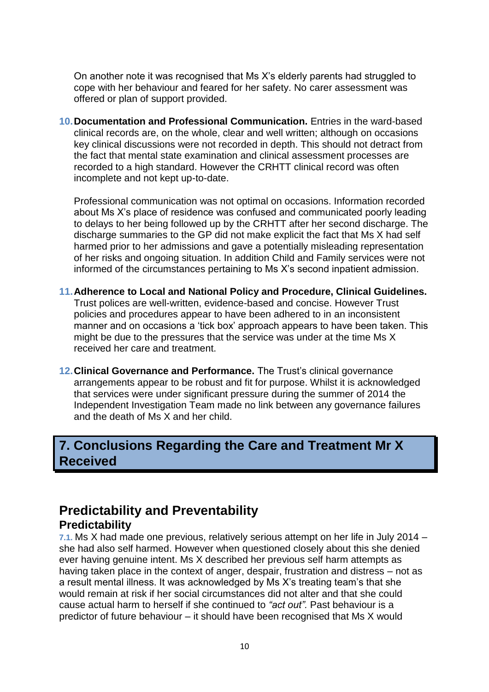On another note it was recognised that Ms X's elderly parents had struggled to cope with her behaviour and feared for her safety. No carer assessment was offered or plan of support provided.

**10.Documentation and Professional Communication.** Entries in the ward-based clinical records are, on the whole, clear and well written; although on occasions key clinical discussions were not recorded in depth. This should not detract from the fact that mental state examination and clinical assessment processes are recorded to a high standard. However the CRHTT clinical record was often incomplete and not kept up-to-date.

Professional communication was not optimal on occasions. Information recorded about Ms X's place of residence was confused and communicated poorly leading to delays to her being followed up by the CRHTT after her second discharge. The discharge summaries to the GP did not make explicit the fact that Ms X had self harmed prior to her admissions and gave a potentially misleading representation of her risks and ongoing situation. In addition Child and Family services were not informed of the circumstances pertaining to Ms X's second inpatient admission.

- **11.Adherence to Local and National Policy and Procedure, Clinical Guidelines.** Trust polices are well-written, evidence-based and concise. However Trust policies and procedures appear to have been adhered to in an inconsistent manner and on occasions a 'tick box' approach appears to have been taken. This might be due to the pressures that the service was under at the time Ms X received her care and treatment.
- **12.Clinical Governance and Performance.** The Trust's clinical governance arrangements appear to be robust and fit for purpose. Whilst it is acknowledged that services were under significant pressure during the summer of 2014 the Independent Investigation Team made no link between any governance failures and the death of Ms X and her child.

## **7. Conclusions Regarding the Care and Treatment Mr X Received**

# **Predictability and Preventability Predictability**

**7.1.** Ms X had made one previous, relatively serious attempt on her life in July 2014 – she had also self harmed. However when questioned closely about this she denied ever having genuine intent. Ms X described her previous self harm attempts as having taken place in the context of anger, despair, frustration and distress – not as a result mental illness. It was acknowledged by Ms X's treating team's that she would remain at risk if her social circumstances did not alter and that she could cause actual harm to herself if she continued to *"act out".* Past behaviour is a predictor of future behaviour – it should have been recognised that Ms X would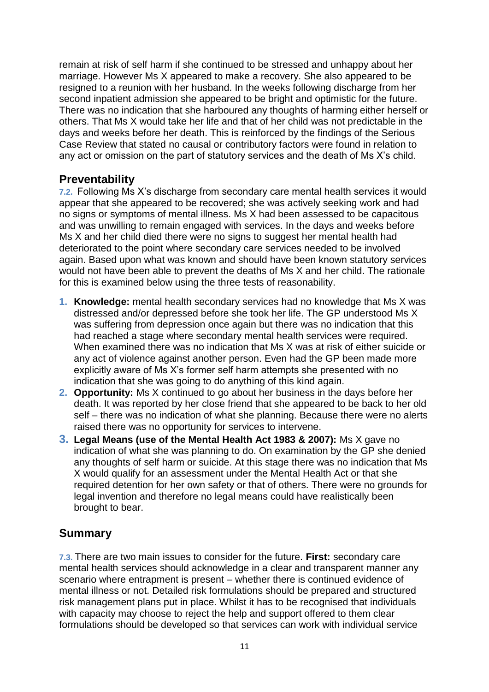remain at risk of self harm if she continued to be stressed and unhappy about her marriage. However Ms X appeared to make a recovery. She also appeared to be resigned to a reunion with her husband. In the weeks following discharge from her second inpatient admission she appeared to be bright and optimistic for the future. There was no indication that she harboured any thoughts of harming either herself or others. That Ms X would take her life and that of her child was not predictable in the days and weeks before her death. This is reinforced by the findings of the Serious Case Review that stated no causal or contributory factors were found in relation to any act or omission on the part of statutory services and the death of Ms X's child.

### **Preventability**

**7.2.** Following Ms X's discharge from secondary care mental health services it would appear that she appeared to be recovered; she was actively seeking work and had no signs or symptoms of mental illness. Ms X had been assessed to be capacitous and was unwilling to remain engaged with services. In the days and weeks before Ms X and her child died there were no signs to suggest her mental health had deteriorated to the point where secondary care services needed to be involved again. Based upon what was known and should have been known statutory services would not have been able to prevent the deaths of Ms X and her child. The rationale for this is examined below using the three tests of reasonability.

- **1. Knowledge:** mental health secondary services had no knowledge that Ms X was distressed and/or depressed before she took her life. The GP understood Ms X was suffering from depression once again but there was no indication that this had reached a stage where secondary mental health services were required. When examined there was no indication that Ms X was at risk of either suicide or any act of violence against another person. Even had the GP been made more explicitly aware of Ms X's former self harm attempts she presented with no indication that she was going to do anything of this kind again.
- **2. Opportunity:** Ms X continued to go about her business in the days before her death. It was reported by her close friend that she appeared to be back to her old self – there was no indication of what she planning. Because there were no alerts raised there was no opportunity for services to intervene.
- **3. Legal Means (use of the Mental Health Act 1983 & 2007):** Ms X gave no indication of what she was planning to do. On examination by the GP she denied any thoughts of self harm or suicide. At this stage there was no indication that Ms X would qualify for an assessment under the Mental Health Act or that she required detention for her own safety or that of others. There were no grounds for legal invention and therefore no legal means could have realistically been brought to bear.

### **Summary**

**7.3.** There are two main issues to consider for the future. **First:** secondary care mental health services should acknowledge in a clear and transparent manner any scenario where entrapment is present – whether there is continued evidence of mental illness or not. Detailed risk formulations should be prepared and structured risk management plans put in place. Whilst it has to be recognised that individuals with capacity may choose to reject the help and support offered to them clear formulations should be developed so that services can work with individual service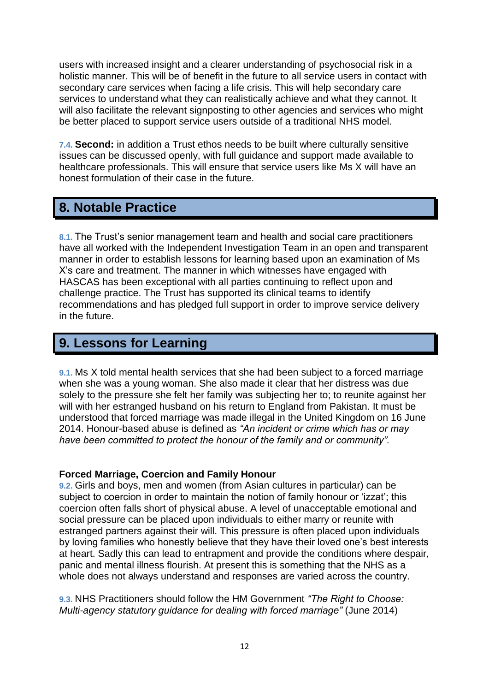users with increased insight and a clearer understanding of psychosocial risk in a holistic manner. This will be of benefit in the future to all service users in contact with secondary care services when facing a life crisis. This will help secondary care services to understand what they can realistically achieve and what they cannot. It will also facilitate the relevant signposting to other agencies and services who might be better placed to support service users outside of a traditional NHS model.

**7.4. Second:** in addition a Trust ethos needs to be built where culturally sensitive issues can be discussed openly, with full guidance and support made available to healthcare professionals. This will ensure that service users like Ms X will have an honest formulation of their case in the future.

## **8. Notable Practice**

**8.1.** The Trust's senior management team and health and social care practitioners have all worked with the Independent Investigation Team in an open and transparent manner in order to establish lessons for learning based upon an examination of Ms X's care and treatment. The manner in which witnesses have engaged with HASCAS has been exceptional with all parties continuing to reflect upon and challenge practice. The Trust has supported its clinical teams to identify recommendations and has pledged full support in order to improve service delivery in the future.

# **9. Lessons for Learning**

**9.1.** Ms X told mental health services that she had been subject to a forced marriage when she was a young woman. She also made it clear that her distress was due solely to the pressure she felt her family was subjecting her to; to reunite against her will with her estranged husband on his return to England from Pakistan. It must be understood that forced marriage was made illegal in the United Kingdom on 16 June 2014. Honour-based abuse is defined as *"An incident or crime which has or may have been committed to protect the honour of the family and or community".* 

#### **Forced Marriage, Coercion and Family Honour**

**9.2.** Girls and boys, men and women (from Asian cultures in particular) can be subject to coercion in order to maintain the notion of family honour or 'izzat'; this coercion often falls short of physical abuse. A level of unacceptable emotional and social pressure can be placed upon individuals to either marry or reunite with estranged partners against their will. This pressure is often placed upon individuals by loving families who honestly believe that they have their loved one's best interests at heart. Sadly this can lead to entrapment and provide the conditions where despair, panic and mental illness flourish. At present this is something that the NHS as a whole does not always understand and responses are varied across the country.

**9.3.** NHS Practitioners should follow the HM Government *"The Right to Choose: Multi-agency statutory guidance for dealing with forced marriage"* (June 2014)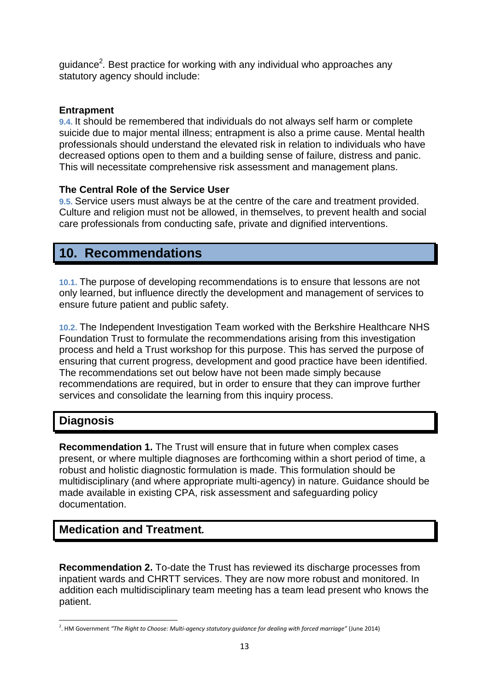guidance<sup>2</sup>. Best practice for working with any individual who approaches any statutory agency should include:

#### **Entrapment**

**9.4.** It should be remembered that individuals do not always self harm or complete suicide due to major mental illness; entrapment is also a prime cause. Mental health professionals should understand the elevated risk in relation to individuals who have decreased options open to them and a building sense of failure, distress and panic. This will necessitate comprehensive risk assessment and management plans.

#### **The Central Role of the Service User**

**9.5.** Service users must always be at the centre of the care and treatment provided. Culture and religion must not be allowed, in themselves, to prevent health and social care professionals from conducting safe, private and dignified interventions.

# **10. Recommendations**

**10.1.** The purpose of developing recommendations is to ensure that lessons are not only learned, but influence directly the development and management of services to ensure future patient and public safety.

**10.2.** The Independent Investigation Team worked with the Berkshire Healthcare NHS Foundation Trust to formulate the recommendations arising from this investigation process and held a Trust workshop for this purpose. This has served the purpose of ensuring that current progress, development and good practice have been identified. The recommendations set out below have not been made simply because recommendations are required, but in order to ensure that they can improve further services and consolidate the learning from this inquiry process.

### **Diagnosis**

**Recommendation 1.** The Trust will ensure that in future when complex cases present, or where multiple diagnoses are forthcoming within a short period of time, a robust and holistic diagnostic formulation is made. This formulation should be multidisciplinary (and where appropriate multi-agency) in nature. Guidance should be made available in existing CPA, risk assessment and safeguarding policy documentation.

### **Medication and Treatment***.*

**Recommendation 2.** To-date the Trust has reviewed its discharge processes from inpatient wards and CHRTT services. They are now more robust and monitored. In addition each multidisciplinary team meeting has a team lead present who knows the patient.

 $\overline{a}$ 2 . HM Government *"The Right to Choose: Multi-agency statutory guidance for dealing with forced marriage"* (June 2014)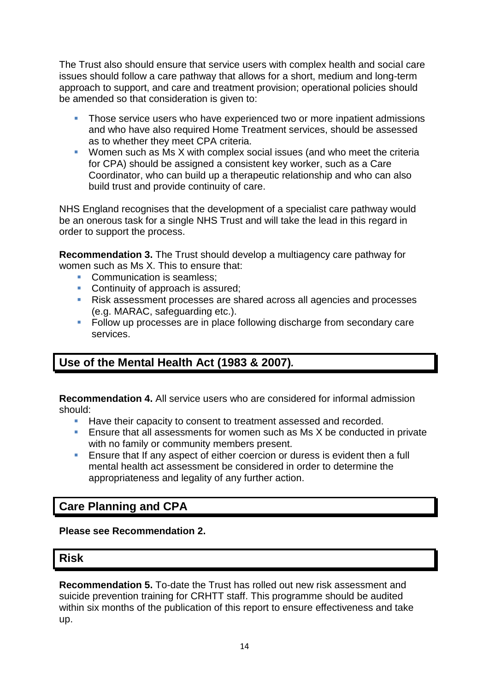The Trust also should ensure that service users with complex health and social care issues should follow a care pathway that allows for a short, medium and long-term approach to support, and care and treatment provision; operational policies should be amended so that consideration is given to:

- Those service users who have experienced two or more inpatient admissions and who have also required Home Treatment services, should be assessed as to whether they meet CPA criteria.
- **Women such as Ms X with complex social issues (and who meet the criteria** for CPA) should be assigned a consistent key worker, such as a Care Coordinator, who can build up a therapeutic relationship and who can also build trust and provide continuity of care.

NHS England recognises that the development of a specialist care pathway would be an onerous task for a single NHS Trust and will take the lead in this regard in order to support the process.

**Recommendation 3.** The Trust should develop a multiagency care pathway for women such as Ms X. This to ensure that:

- Communication is seamless:
- Continuity of approach is assured;
- Risk assessment processes are shared across all agencies and processes (e.g. MARAC, safeguarding etc.).
- **Follow up processes are in place following discharge from secondary care** services.

## **Use of the Mental Health Act (1983 & 2007)***.*

**Recommendation 4.** All service users who are considered for informal admission should:

- **Have their capacity to consent to treatment assessed and recorded.**
- **Ensure that all assessments for women such as Ms X be conducted in private** with no family or community members present.
- Ensure that If any aspect of either coercion or duress is evident then a full mental health act assessment be considered in order to determine the appropriateness and legality of any further action.

### **Care Planning and CPA**

#### **Please see Recommendation 2.**

#### **Risk**

**Recommendation 5.** To-date the Trust has rolled out new risk assessment and suicide prevention training for CRHTT staff. This programme should be audited within six months of the publication of this report to ensure effectiveness and take up.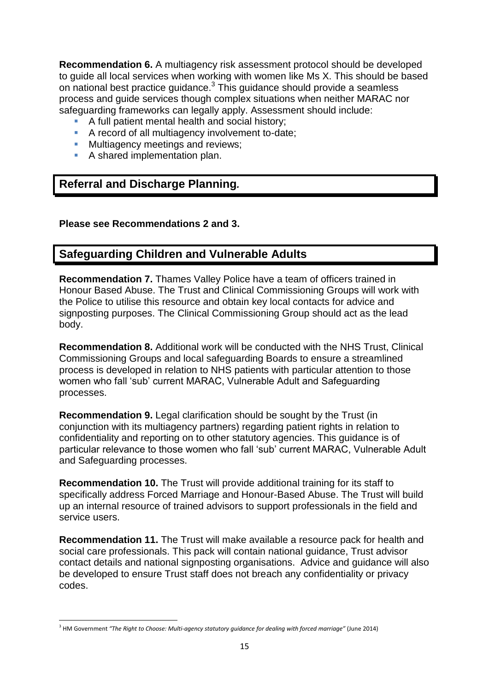**Recommendation 6.** A multiagency risk assessment protocol should be developed to guide all local services when working with women like Ms X. This should be based on national best practice guidance. $3$  This guidance should provide a seamless process and guide services though complex situations when neither MARAC nor safeguarding frameworks can legally apply. Assessment should include:

- A full patient mental health and social history;
- A record of all multiagency involvement to-date;
- **Multiagency meetings and reviews;**
- A shared implementation plan.

### **Referral and Discharge Planning***.*

#### **Please see Recommendations 2 and 3.**

### **Safeguarding Children and Vulnerable Adults**

**Recommendation 7.** Thames Valley Police have a team of officers trained in Honour Based Abuse. The Trust and Clinical Commissioning Groups will work with the Police to utilise this resource and obtain key local contacts for advice and signposting purposes. The Clinical Commissioning Group should act as the lead body.

**Recommendation 8.** Additional work will be conducted with the NHS Trust, Clinical Commissioning Groups and local safeguarding Boards to ensure a streamlined process is developed in relation to NHS patients with particular attention to those women who fall 'sub' current MARAC, Vulnerable Adult and Safeguarding processes.

**Recommendation 9.** Legal clarification should be sought by the Trust (in conjunction with its multiagency partners) regarding patient rights in relation to confidentiality and reporting on to other statutory agencies. This guidance is of particular relevance to those women who fall 'sub' current MARAC, Vulnerable Adult and Safeguarding processes.

**Recommendation 10.** The Trust will provide additional training for its staff to specifically address Forced Marriage and Honour-Based Abuse. The Trust will build up an internal resource of trained advisors to support professionals in the field and service users.

**Recommendation 11.** The Trust will make available a resource pack for health and social care professionals. This pack will contain national guidance, Trust advisor contact details and national signposting organisations. Advice and guidance will also be developed to ensure Trust staff does not breach any confidentiality or privacy codes.

 $\overline{a}$ 3 HM Government *"The Right to Choose: Multi-agency statutory guidance for dealing with forced marriage"* (June 2014)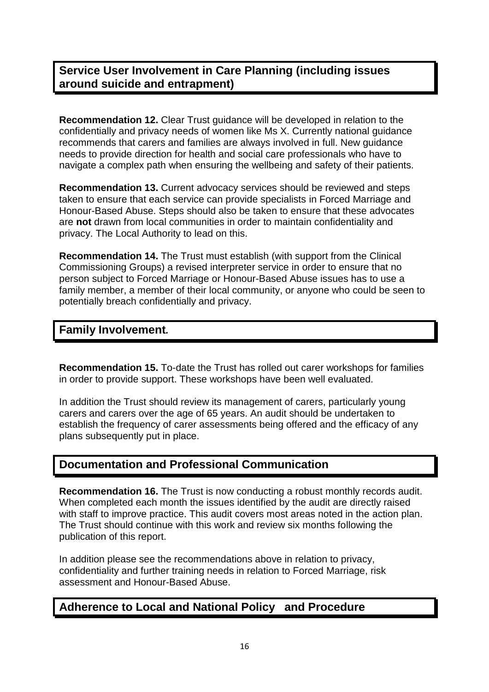### **Service User Involvement in Care Planning (including issues around suicide and entrapment)**

**Recommendation 12.** Clear Trust guidance will be developed in relation to the confidentially and privacy needs of women like Ms X. Currently national guidance recommends that carers and families are always involved in full. New guidance needs to provide direction for health and social care professionals who have to navigate a complex path when ensuring the wellbeing and safety of their patients.

**Recommendation 13.** Current advocacy services should be reviewed and steps taken to ensure that each service can provide specialists in Forced Marriage and Honour-Based Abuse. Steps should also be taken to ensure that these advocates are **not** drawn from local communities in order to maintain confidentiality and privacy. The Local Authority to lead on this.

**Recommendation 14.** The Trust must establish (with support from the Clinical Commissioning Groups) a revised interpreter service in order to ensure that no person subject to Forced Marriage or Honour-Based Abuse issues has to use a family member, a member of their local community, or anyone who could be seen to potentially breach confidentially and privacy.

### **Family Involvement***.*

**Recommendation 15.** To-date the Trust has rolled out carer workshops for families in order to provide support. These workshops have been well evaluated.

In addition the Trust should review its management of carers, particularly young carers and carers over the age of 65 years. An audit should be undertaken to establish the frequency of carer assessments being offered and the efficacy of any plans subsequently put in place.

### **Documentation and Professional Communication**

**Recommendation 16.** The Trust is now conducting a robust monthly records audit. When completed each month the issues identified by the audit are directly raised with staff to improve practice. This audit covers most areas noted in the action plan. The Trust should continue with this work and review six months following the publication of this report.

In addition please see the recommendations above in relation to privacy, confidentiality and further training needs in relation to Forced Marriage, risk assessment and Honour-Based Abuse.

#### **Adherence to Local and National Policy and Procedure**